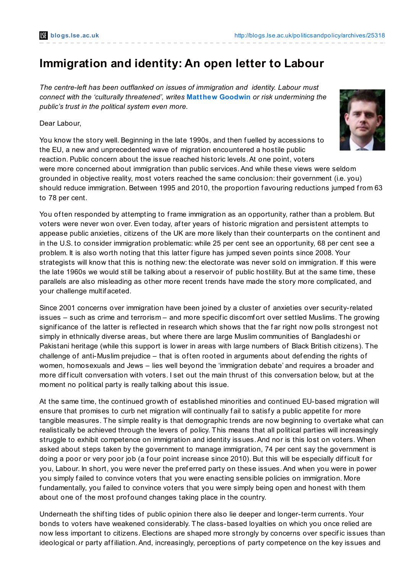# **Immigration and identity: An open letter to Labour**

*The centre-left has been outflanked on issues of immigration and identity. Labour must connect with the 'culturally threatened', writes* **Matthew [Goodwin](http://blogs.lse.ac.uk/politicsandpolicy/?p=25318#Author)** *or risk undermining the public's trust in the political system even more.*

Dear Labour,

You know the story well. Beginning in the late 1990s, and then f uelled by accessions to the EU, a new and unprecedented wave of migration encountered a hostile public reaction. Public concern about the issue reached historic levels.At one point, voters were more concerned about immigration than public services.And while these views were seldom grounded in objective reality, most voters reached the same conclusion: their government (i.e. you) should reduce immigration. Between 1995 and 2010, the proportion f avouring reductions jumped from 63 to 78 per cent.

You of ten responded by attempting to frame immigration as an opportunity, rather than a problem. But voters were never won over. Even today, af ter years of historic migration and persistent attempts to appease public anxieties, citizens of the UK are more likely than their counterparts on the continent and in the U.S. to consider immigration problematic: while 25 per cent see an opportunity, 68 per cent see a problem. It is also worth noting that this latter f igure has jumped seven points since 2008. Your strategists will know that this is nothing new: the electorate was never sold on immigration. If this were the late 1960s we would still be talking about a reservoir of public hostility. But at the same time, these parallels are also misleading as other more recent trends have made the story more complicated, and your challenge multif aceted.

Since 2001 concerns over immigration have been joined by a cluster of anxieties over security-related issues – such as crime and terrorism – and more specif ic discomf ort over settled Muslims. The growing significance of the latter is reflected in research which shows that the far right now polls strongest not simply in ethnically diverse areas, but where there are large Muslim communities of Bangladeshi or Pakistani heritage (while this support is lower in areas with large numbers of Black British citizens). The challenge of anti-Muslim prejudice – that is of ten rooted in arguments about def ending the rights of women, homosexuals and Jews – lies well beyond the 'immigration debate' and requires a broader and more difficult conversation with voters. I set out the main thrust of this conversation below, but at the moment no political party is really talking about this issue.

At the same time, the continued growth of established minorities and continued EU-based migration will ensure that promises to curb net migration will continually fail to satisfy a public appetite for more tangible measures. The simple reality is that demographic trends are now beginning to overtake what can realistically be achieved through the levers of policy. This means that all political parties will increasingly struggle to exhibit competence on immigration and identity issues.And nor is this lost on voters. When asked about steps taken by the government to manage immigration, 74 per cent say the government is doing a poor or very poor job (a four point increase since 2010). But this will be especially difficult for you, Labour. In short, you were never the preferred party on these issues. And when you were in power you simply f ailed to convince voters that you were enacting sensible policies on immigration. More fundamentally, you failed to convince voters that you were simply being open and honest with them about one of the most profound changes taking place in the country.

Underneath the shif ting tides of public opinion there also lie deeper and longer-term currents. Your bonds to voters have weakened considerably. The class-based loyalties on which you once relied are now less important to citizens. Elections are shaped more strongly by concerns over specif ic issues than ideological or party affiliation. And, increasingly, perceptions of party competence on the key issues and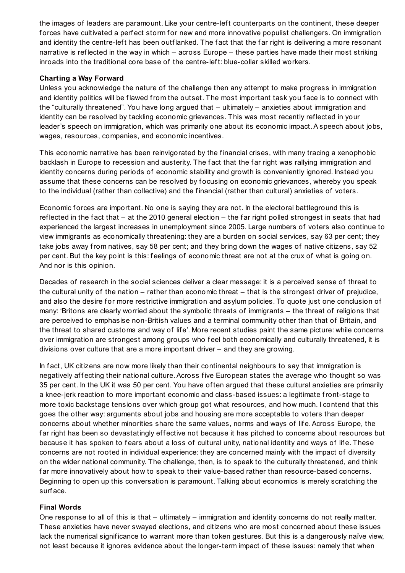the images of leaders are paramount. Like your centre-lef t counterparts on the continent, these deeper forces have cultivated a perfect storm for new and more innovative populist challengers. On immigration and identity the centre-left has been outflanked. The fact that the far right is delivering a more resonant narrative is reflected in the way in which – across Europe – these parties have made their most striking inroads into the traditional core base of the centre-lef t: blue-collar skilled workers.

#### **Charting a Way Forward**

Unless you acknowledge the nature of the challenge then any attempt to make progress in immigration and identity politics will be flawed from the outset. The most important task you face is to connect with the "culturally threatened". You have long argued that – ultimately – anxieties about immigration and identity can be resolved by tackling economic grievances. This was most recently ref lected in your leader's speech on immigration, which was primarily one about its economic impact.A speech about jobs, wages, resources, companies, and economic incentives.

This economic narrative has been reinvigorated by the f inancial crises, with many tracing a xenophobic backlash in Europe to recession and austerity. The fact that the far right was rallying immigration and identity concerns during periods of economic stability and growth is conveniently ignored. Instead you assume that these concerns can be resolved by focusing on economic grievances, whereby you speak to the individual (rather than collective) and the f inancial (rather than cultural) anxieties of voters.

Economic forces are important. No one is saying they are not. In the electoral battleground this is reflected in the fact that  $-$  at the 2010 general election  $-$  the far right polled strongest in seats that had experienced the largest increases in unemployment since 2005. Large numbers of voters also continue to view immigrants as economically threatening: they are a burden on social services, say 63 per cent; they take jobs away from natives, say 58 per cent; and they bring down the wages of native citizens, say 52 per cent. But the key point is this: feelings of economic threat are not at the crux of what is going on. And nor is this opinion.

Decades of research in the social sciences deliver a clear message: it is a perceived sense of threat to the cultural unity of the nation – rather than economic threat – that is the strongest driver of prejudice, and also the desire for more restrictive immigration and asylum policies. To quote just one conclusion of many: 'Britons are clearly worried about the symbolic threats of immigrants – the threat of religions that are perceived to emphasise non-British values and a terminal community other than that of Britain, and the threat to shared customs and way of lif e'. More recent studies paint the same picture: while concerns over immigration are strongest among groups who feel both economically and culturally threatened, it is divisions over culture that are a more important driver – and they are growing.

In fact, UK citizens are now more likely than their continental neighbours to say that immigration is negatively affecting their national culture. Across five European states the average who thought so was 35 per cent. In the UK it was 50 per cent. You have of ten argued that these cultural anxieties are primarily a knee-jerk reaction to more important economic and class-based issues: a legitimate front-stage to more toxic backstage tensions over which group got what resources, and how much. I contend that this goes the other way: arguments about jobs and housing are more acceptable to voters than deeper concerns about whether minorities share the same values, norms and ways of lif e.Across Europe, the far right has been so devastatingly effective not because it has pitched to concerns about resources but because it has spoken to fears about a loss of cultural unity, national identity and ways of life. These concerns are not rooted in individual experience: they are concerned mainly with the impact of diversity on the wider national community. The challenge, then, is to speak to the culturally threatened, and think far more innovatively about how to speak to their value-based rather than resource-based concerns. Beginning to open up this conversation is paramount. Talking about economics is merely scratching the surf ace.

### **Final Words**

One response to all of this is that – ultimately – immigration and identity concerns do not really matter. These anxieties have never swayed elections, and citizens who are most concerned about these issues lack the numerical signif icance to warrant more than token gestures. But this is a dangerously naïve view, not least because it ignores evidence about the longer-term impact of these issues: namely that when